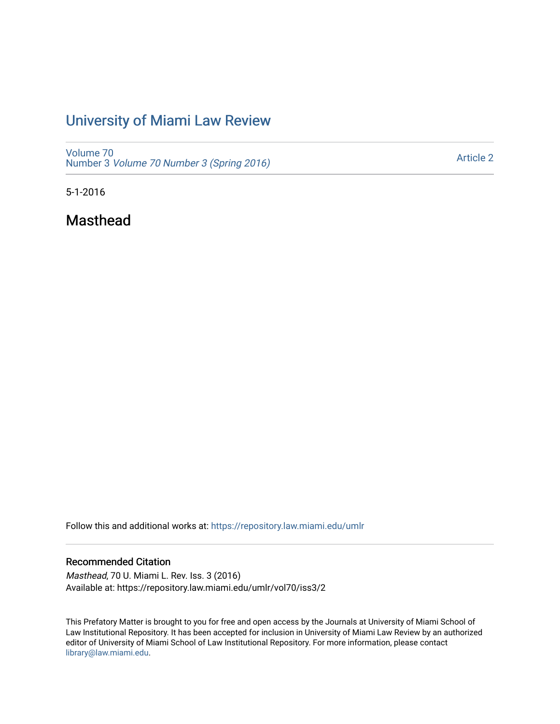## [University of Miami Law Review](https://repository.law.miami.edu/umlr)

[Volume 70](https://repository.law.miami.edu/umlr/vol70) Number 3 [Volume 70 Number 3 \(Spring 2016\)](https://repository.law.miami.edu/umlr/vol70/iss3)

[Article 2](https://repository.law.miami.edu/umlr/vol70/iss3/2) 

5-1-2016

Masthead

Follow this and additional works at: [https://repository.law.miami.edu/umlr](https://repository.law.miami.edu/umlr?utm_source=repository.law.miami.edu%2Fumlr%2Fvol70%2Fiss3%2F2&utm_medium=PDF&utm_campaign=PDFCoverPages)

## Recommended Citation

Masthead, 70 U. Miami L. Rev. Iss. 3 (2016) Available at: https://repository.law.miami.edu/umlr/vol70/iss3/2

This Prefatory Matter is brought to you for free and open access by the Journals at University of Miami School of Law Institutional Repository. It has been accepted for inclusion in University of Miami Law Review by an authorized editor of University of Miami School of Law Institutional Repository. For more information, please contact [library@law.miami.edu.](mailto:library@law.miami.edu)